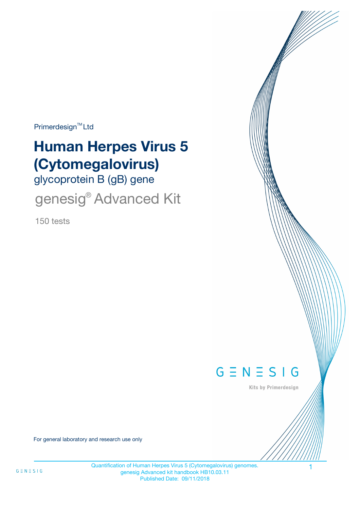Primerdesign<sup>™</sup>Ltd

# **Human Herpes Virus 5 (Cytomegalovirus)**

glycoprotein B (gB) gene

genesig<sup>®</sup> Advanced Kit

150 tests



Kits by Primerdesign

For general laboratory and research use only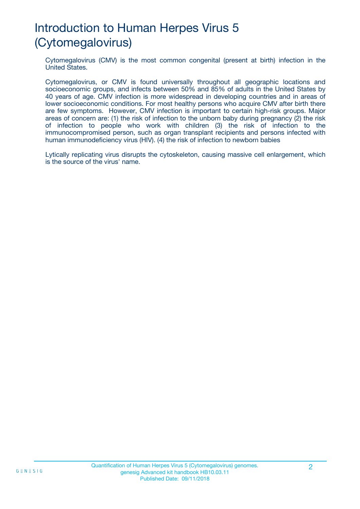## Introduction to Human Herpes Virus 5 (Cytomegalovirus)

Cytomegalovirus (CMV) is the most common congenital (present at birth) infection in the United States.

Cytomegalovirus, or CMV is found universally throughout all geographic locations and socioeconomic groups, and infects between 50% and 85% of adults in the United States by 40 years of age. CMV infection is more widespread in developing countries and in areas of lower socioeconomic conditions. For most healthy persons who acquire CMV after birth there are few symptoms. However, CMV infection is important to certain high-risk groups. Major areas of concern are: (1) the risk of infection to the unborn baby during pregnancy (2) the risk of infection to people who work with children (3) the risk of infection to the immunocompromised person, such as organ transplant recipients and persons infected with human immunodeficiency virus (HIV). (4) the risk of infection to newborn babies

Lytically replicating virus disrupts the cytoskeleton, causing massive cell enlargement, which is the source of the virus' name.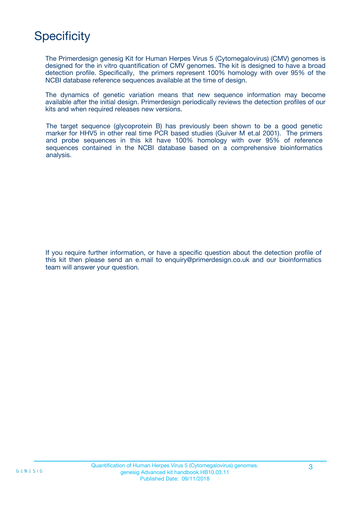## **Specificity**

The Primerdesign genesig Kit for Human Herpes Virus 5 (Cytomegalovirus) (CMV) genomes is designed for the in vitro quantification of CMV genomes. The kit is designed to have a broad detection profile. Specifically, the primers represent 100% homology with over 95% of the NCBI database reference sequences available at the time of design.

The dynamics of genetic variation means that new sequence information may become available after the initial design. Primerdesign periodically reviews the detection profiles of our kits and when required releases new versions.

The target sequence (glycoprotein B) has previously been shown to be a good genetic marker for HHV5 in other real time PCR based studies (Guiver M et.al 2001). The primers and probe sequences in this kit have 100% homology with over 95% of reference sequences contained in the NCBI database based on a comprehensive bioinformatics analysis.

If you require further information, or have a specific question about the detection profile of this kit then please send an e.mail to enquiry@primerdesign.co.uk and our bioinformatics team will answer your question.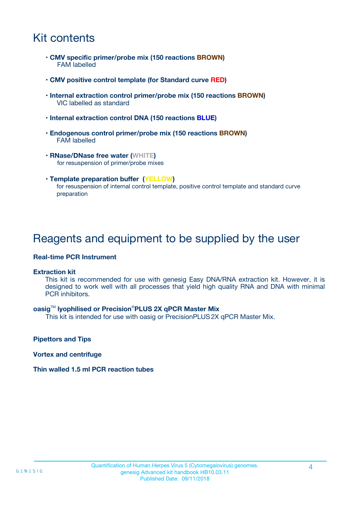## Kit contents

- **CMV specific primer/probe mix (150 reactions BROWN)** FAM labelled
- **CMV positive control template (for Standard curve RED)**
- **Internal extraction control primer/probe mix (150 reactions BROWN)** VIC labelled as standard
- **Internal extraction control DNA (150 reactions BLUE)**
- **Endogenous control primer/probe mix (150 reactions BROWN)** FAM labelled
- **RNase/DNase free water (WHITE)** for resuspension of primer/probe mixes
- **Template preparation buffer (YELLOW)** for resuspension of internal control template, positive control template and standard curve preparation

### Reagents and equipment to be supplied by the user

#### **Real-time PCR Instrument**

#### **Extraction kit**

This kit is recommended for use with genesig Easy DNA/RNA extraction kit. However, it is designed to work well with all processes that yield high quality RNA and DNA with minimal PCR inhibitors.

#### **oasig**TM **lyophilised or Precision**®**PLUS 2X qPCR Master Mix**

This kit is intended for use with oasig or PrecisionPLUS2X qPCR Master Mix.

**Pipettors and Tips**

**Vortex and centrifuge**

#### **Thin walled 1.5 ml PCR reaction tubes**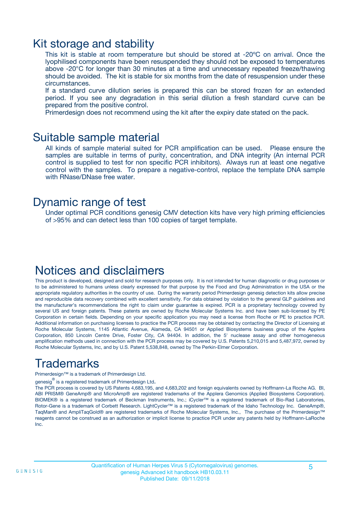### Kit storage and stability

This kit is stable at room temperature but should be stored at -20ºC on arrival. Once the lyophilised components have been resuspended they should not be exposed to temperatures above -20°C for longer than 30 minutes at a time and unnecessary repeated freeze/thawing should be avoided. The kit is stable for six months from the date of resuspension under these circumstances.

If a standard curve dilution series is prepared this can be stored frozen for an extended period. If you see any degradation in this serial dilution a fresh standard curve can be prepared from the positive control.

Primerdesign does not recommend using the kit after the expiry date stated on the pack.

### Suitable sample material

All kinds of sample material suited for PCR amplification can be used. Please ensure the samples are suitable in terms of purity, concentration, and DNA integrity (An internal PCR control is supplied to test for non specific PCR inhibitors). Always run at least one negative control with the samples. To prepare a negative-control, replace the template DNA sample with RNase/DNase free water.

### Dynamic range of test

Under optimal PCR conditions genesig CMV detection kits have very high priming efficiencies of >95% and can detect less than 100 copies of target template.

### Notices and disclaimers

This product is developed, designed and sold for research purposes only. It is not intended for human diagnostic or drug purposes or to be administered to humans unless clearly expressed for that purpose by the Food and Drug Administration in the USA or the appropriate regulatory authorities in the country of use. During the warranty period Primerdesign genesig detection kits allow precise and reproducible data recovery combined with excellent sensitivity. For data obtained by violation to the general GLP guidelines and the manufacturer's recommendations the right to claim under guarantee is expired. PCR is a proprietary technology covered by several US and foreign patents. These patents are owned by Roche Molecular Systems Inc. and have been sub-licensed by PE Corporation in certain fields. Depending on your specific application you may need a license from Roche or PE to practice PCR. Additional information on purchasing licenses to practice the PCR process may be obtained by contacting the Director of Licensing at Roche Molecular Systems, 1145 Atlantic Avenue, Alameda, CA 94501 or Applied Biosystems business group of the Applera Corporation, 850 Lincoln Centre Drive, Foster City, CA 94404. In addition, the 5' nuclease assay and other homogeneous amplification methods used in connection with the PCR process may be covered by U.S. Patents 5,210,015 and 5,487,972, owned by Roche Molecular Systems, Inc, and by U.S. Patent 5,538,848, owned by The Perkin-Elmer Corporation.

## Trademarks

Primerdesign™ is a trademark of Primerdesign Ltd.

genesig $^\circledR$  is a registered trademark of Primerdesign Ltd.

The PCR process is covered by US Patents 4,683,195, and 4,683,202 and foreign equivalents owned by Hoffmann-La Roche AG. BI, ABI PRISM® GeneAmp® and MicroAmp® are registered trademarks of the Applera Genomics (Applied Biosystems Corporation). BIOMEK® is a registered trademark of Beckman Instruments, Inc.; iCycler™ is a registered trademark of Bio-Rad Laboratories, Rotor-Gene is a trademark of Corbett Research. LightCycler™ is a registered trademark of the Idaho Technology Inc. GeneAmp®, TaqMan® and AmpliTaqGold® are registered trademarks of Roche Molecular Systems, Inc., The purchase of the Primerdesign™ reagents cannot be construed as an authorization or implicit license to practice PCR under any patents held by Hoffmann-LaRoche Inc.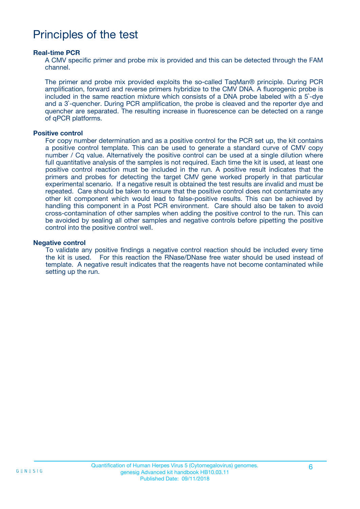### Principles of the test

#### **Real-time PCR**

A CMV specific primer and probe mix is provided and this can be detected through the FAM channel.

The primer and probe mix provided exploits the so-called TaqMan® principle. During PCR amplification, forward and reverse primers hybridize to the CMV DNA. A fluorogenic probe is included in the same reaction mixture which consists of a DNA probe labeled with a 5`-dye and a 3`-quencher. During PCR amplification, the probe is cleaved and the reporter dye and quencher are separated. The resulting increase in fluorescence can be detected on a range of qPCR platforms.

#### **Positive control**

For copy number determination and as a positive control for the PCR set up, the kit contains a positive control template. This can be used to generate a standard curve of CMV copy number / Cq value. Alternatively the positive control can be used at a single dilution where full quantitative analysis of the samples is not required. Each time the kit is used, at least one positive control reaction must be included in the run. A positive result indicates that the primers and probes for detecting the target CMV gene worked properly in that particular experimental scenario. If a negative result is obtained the test results are invalid and must be repeated. Care should be taken to ensure that the positive control does not contaminate any other kit component which would lead to false-positive results. This can be achieved by handling this component in a Post PCR environment. Care should also be taken to avoid cross-contamination of other samples when adding the positive control to the run. This can be avoided by sealing all other samples and negative controls before pipetting the positive control into the positive control well.

#### **Negative control**

To validate any positive findings a negative control reaction should be included every time the kit is used. For this reaction the RNase/DNase free water should be used instead of template. A negative result indicates that the reagents have not become contaminated while setting up the run.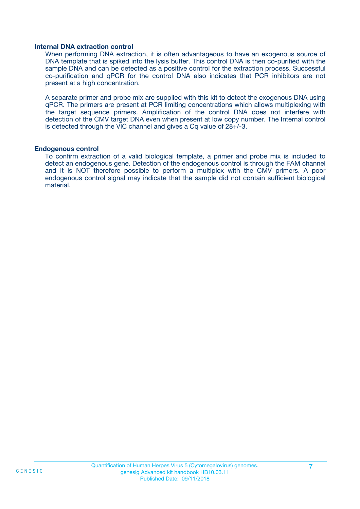#### **Internal DNA extraction control**

When performing DNA extraction, it is often advantageous to have an exogenous source of DNA template that is spiked into the lysis buffer. This control DNA is then co-purified with the sample DNA and can be detected as a positive control for the extraction process. Successful co-purification and qPCR for the control DNA also indicates that PCR inhibitors are not present at a high concentration.

A separate primer and probe mix are supplied with this kit to detect the exogenous DNA using qPCR. The primers are present at PCR limiting concentrations which allows multiplexing with the target sequence primers. Amplification of the control DNA does not interfere with detection of the CMV target DNA even when present at low copy number. The Internal control is detected through the VIC channel and gives a Cq value of 28+/-3.

#### **Endogenous control**

To confirm extraction of a valid biological template, a primer and probe mix is included to detect an endogenous gene. Detection of the endogenous control is through the FAM channel and it is NOT therefore possible to perform a multiplex with the CMV primers. A poor endogenous control signal may indicate that the sample did not contain sufficient biological material.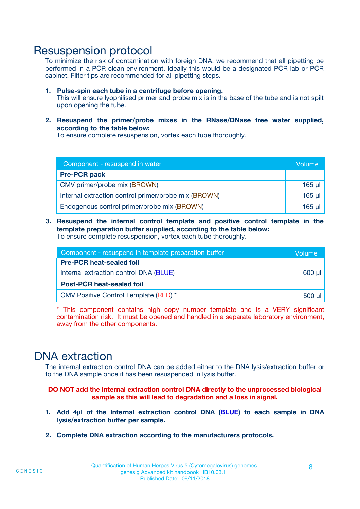### Resuspension protocol

To minimize the risk of contamination with foreign DNA, we recommend that all pipetting be performed in a PCR clean environment. Ideally this would be a designated PCR lab or PCR cabinet. Filter tips are recommended for all pipetting steps.

- **1. Pulse-spin each tube in a centrifuge before opening.** This will ensure lyophilised primer and probe mix is in the base of the tube and is not spilt upon opening the tube.
- **2. Resuspend the primer/probe mixes in the RNase/DNase free water supplied, according to the table below:**

To ensure complete resuspension, vortex each tube thoroughly.

| Component - resuspend in water                       |          |  |
|------------------------------------------------------|----------|--|
| <b>Pre-PCR pack</b>                                  |          |  |
| CMV primer/probe mix (BROWN)                         | $165$ µ  |  |
| Internal extraction control primer/probe mix (BROWN) | $165$ µl |  |
| Endogenous control primer/probe mix (BROWN)          | 165 µl   |  |

**3. Resuspend the internal control template and positive control template in the template preparation buffer supplied, according to the table below:** To ensure complete resuspension, vortex each tube thoroughly.

| Component - resuspend in template preparation buffer |          |  |  |
|------------------------------------------------------|----------|--|--|
| <b>Pre-PCR heat-sealed foil</b>                      |          |  |  |
| Internal extraction control DNA (BLUE)               |          |  |  |
| <b>Post-PCR heat-sealed foil</b>                     |          |  |  |
| CMV Positive Control Template (RED) *                | $500$ µl |  |  |

\* This component contains high copy number template and is a VERY significant contamination risk. It must be opened and handled in a separate laboratory environment, away from the other components.

### DNA extraction

The internal extraction control DNA can be added either to the DNA lysis/extraction buffer or to the DNA sample once it has been resuspended in lysis buffer.

**DO NOT add the internal extraction control DNA directly to the unprocessed biological sample as this will lead to degradation and a loss in signal.**

- **1. Add 4µl of the Internal extraction control DNA (BLUE) to each sample in DNA lysis/extraction buffer per sample.**
- **2. Complete DNA extraction according to the manufacturers protocols.**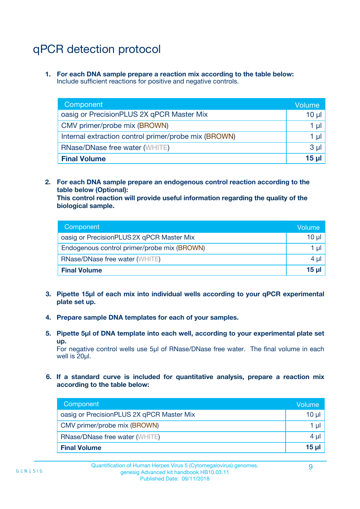## qPCR detection protocol

**1. For each DNA sample prepare a reaction mix according to the table below:** Include sufficient reactions for positive and negative controls.

| Component                                            | Volume   |
|------------------------------------------------------|----------|
| oasig or PrecisionPLUS 2X qPCR Master Mix            | $10 \mu$ |
| CMV primer/probe mix (BROWN)                         | 1 µI     |
| Internal extraction control primer/probe mix (BROWN) | 1 µl     |
| <b>RNase/DNase free water (WHITE)</b>                | $3 \mu$  |
| <b>Final Volume</b>                                  | 15 µl    |

**2. For each DNA sample prepare an endogenous control reaction according to the table below (Optional):**

**This control reaction will provide useful information regarding the quality of the biological sample.**

| Component                                   | Volume   |
|---------------------------------------------|----------|
| oasig or PrecisionPLUS 2X qPCR Master Mix   | $10 \mu$ |
| Endogenous control primer/probe mix (BROWN) | 1 µI     |
| <b>RNase/DNase free water (WHITE)</b>       | $4 \mu$  |
| <b>Final Volume</b>                         | 15 µl    |

- **3. Pipette 15µl of each mix into individual wells according to your qPCR experimental plate set up.**
- **4. Prepare sample DNA templates for each of your samples.**
- **5. Pipette 5µl of DNA template into each well, according to your experimental plate set up.**

For negative control wells use 5µl of RNase/DNase free water. The final volume in each well is 20ul.

**6. If a standard curve is included for quantitative analysis, prepare a reaction mix according to the table below:**

| Component                                 | Volume          |
|-------------------------------------------|-----------------|
| oasig or PrecisionPLUS 2X qPCR Master Mix | $10 \mu$        |
| CMV primer/probe mix (BROWN)              | 1 µI            |
| <b>RNase/DNase free water (WHITE)</b>     | $4 \mu$         |
| <b>Final Volume</b>                       | 15 <sub>µ</sub> |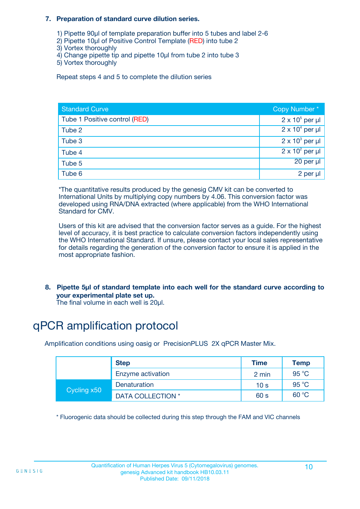#### **7. Preparation of standard curve dilution series.**

- 1) Pipette 90µl of template preparation buffer into 5 tubes and label 2-6
- 2) Pipette 10µl of Positive Control Template (RED) into tube 2
- 3) Vortex thoroughly
- 4) Change pipette tip and pipette 10µl from tube 2 into tube 3
- 5) Vortex thoroughly

Repeat steps 4 and 5 to complete the dilution series

| <b>Standard Curve</b>         | Copy Number*           |
|-------------------------------|------------------------|
| Tube 1 Positive control (RED) | $2 \times 10^5$ per µl |
| Tube 2                        | $2 \times 10^4$ per µl |
| Tube 3                        | $2 \times 10^3$ per µl |
| Tube 4                        | $2 \times 10^2$ per µl |
| Tube 5                        | 20 per µl              |
| Tube 6                        | 2 per µl               |

\*The quantitative results produced by the genesig CMV kit can be converted to International Units by multiplying copy numbers by 4.06. This conversion factor was developed using RNA/DNA extracted (where applicable) from the WHO International Standard for CMV.

Users of this kit are advised that the conversion factor serves as a guide. For the highest level of accuracy, it is best practice to calculate conversion factors independently using the WHO International Standard. If unsure, please contact your local sales representative for details regarding the generation of the conversion factor to ensure it is applied in the most appropriate fashion.

**8. Pipette 5µl of standard template into each well for the standard curve according to your experimental plate set up.**

The final volume in each well is 20µl.

## qPCR amplification protocol

Amplification conditions using oasig or PrecisionPLUS 2X qPCR Master Mix.

|             | <b>Step</b>       | Time            | Temp  |
|-------------|-------------------|-----------------|-------|
|             | Enzyme activation | 2 min           | 95 °C |
| Cycling x50 | Denaturation      | 10 <sub>s</sub> | 95 °C |
|             | DATA COLLECTION * | 60 s            | 60 °C |

\* Fluorogenic data should be collected during this step through the FAM and VIC channels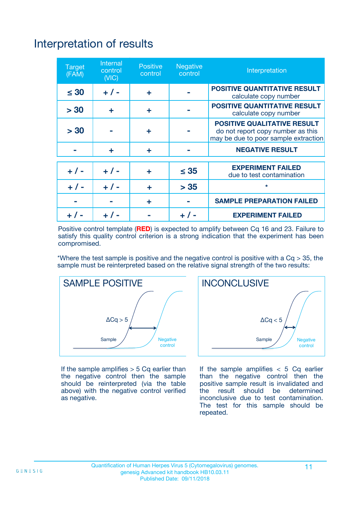## Interpretation of results

| <b>Target</b><br>(FAM) | <b>Internal</b><br>control<br>(NIC) | <b>Positive</b><br>control | <b>Negative</b><br>control | Interpretation                                                                                                  |
|------------------------|-------------------------------------|----------------------------|----------------------------|-----------------------------------------------------------------------------------------------------------------|
| $\leq 30$              | $+ 1 -$                             | ÷                          |                            | <b>POSITIVE QUANTITATIVE RESULT</b><br>calculate copy number                                                    |
| > 30                   | ٠                                   | ÷                          |                            | <b>POSITIVE QUANTITATIVE RESULT</b><br>calculate copy number                                                    |
| > 30                   |                                     | ÷                          |                            | <b>POSITIVE QUALITATIVE RESULT</b><br>do not report copy number as this<br>may be due to poor sample extraction |
|                        | ÷                                   | ÷                          |                            | <b>NEGATIVE RESULT</b>                                                                                          |
| $+ 1 -$                | $+ 1 -$                             | ÷                          | $\leq$ 35                  | <b>EXPERIMENT FAILED</b><br>due to test contamination                                                           |
| $+$ / -                | $+ 1 -$                             | ÷                          | > 35                       | $\star$                                                                                                         |
|                        |                                     | ÷                          |                            | <b>SAMPLE PREPARATION FAILED</b>                                                                                |
|                        |                                     |                            | $+$ /                      | <b>EXPERIMENT FAILED</b>                                                                                        |

Positive control template (**RED**) is expected to amplify between Cq 16 and 23. Failure to satisfy this quality control criterion is a strong indication that the experiment has been compromised.

\*Where the test sample is positive and the negative control is positive with a  $Ca > 35$ , the sample must be reinterpreted based on the relative signal strength of the two results:



If the sample amplifies  $> 5$  Cq earlier than the negative control then the sample should be reinterpreted (via the table above) with the negative control verified as negative.



If the sample amplifies  $< 5$  Cq earlier than the negative control then the positive sample result is invalidated and<br>the result should be determined  $the$  result should be inconclusive due to test contamination. The test for this sample should be repeated.